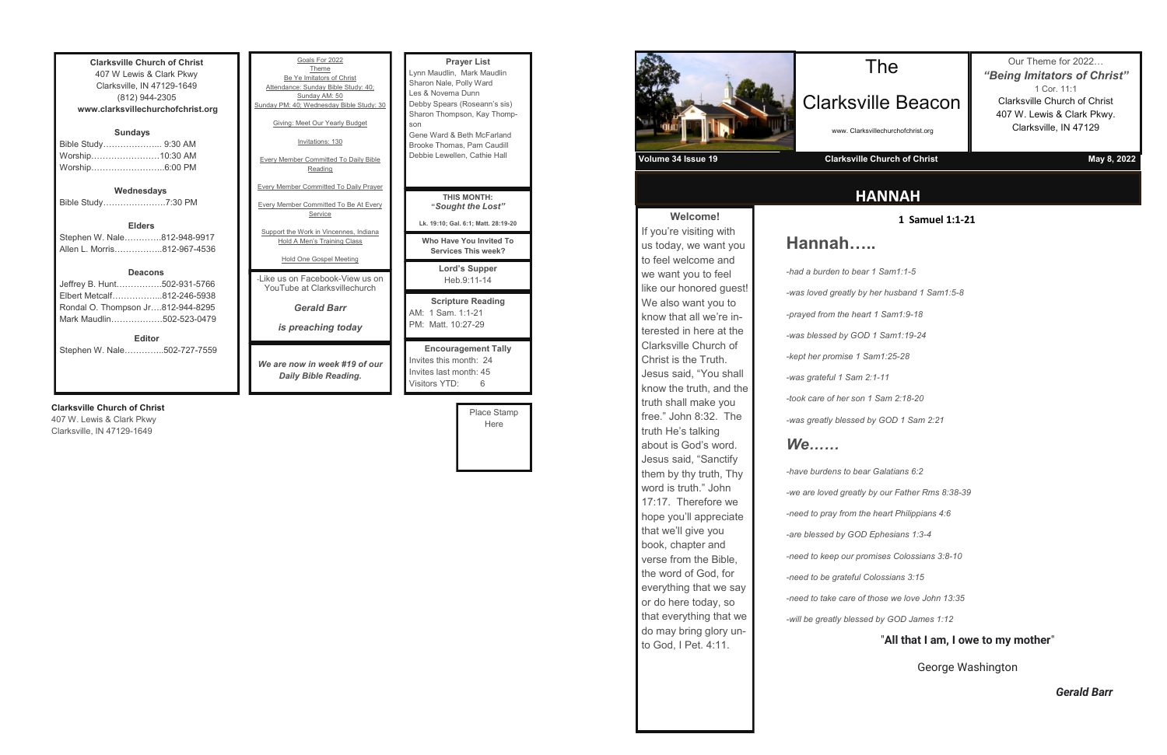**Clarksville Church of Christ** 407 W Lewis & Clark Pkwy Clarksville, IN 47129-1649 (812) 944-2305 **www.clarksvillechurchofchrist.org Sundays** Bible Study………………... 9:30 AM

| Worship……………………10:30 AM |  |
|-------------------------|--|
| Worship………………………6:00 PM |  |
|                         |  |

#### **Wednesdays**

Bible Study………………….7:30 PM

**Elders** Stephen W. Nale………….812-948-9917 Allen L. Morris……………..812-967-4536

#### **Deacons**

| <b>Editor</b>                     |  |
|-----------------------------------|--|
| Mark Maudlin502-523-0479          |  |
| Rondal O. Thompson Jr812-944-8295 |  |
| Elbert Metcalf812-246-5938        |  |
| Jeffrey B. Hunt502-931-5766       |  |

Stephen W. Nale…………..502-727-7559

#### **Clarksville Church of Christ**

407 W. Lewis & Clark Pkwy Clarksville, IN 47129-1649

| Goals For 2022<br>Theme<br>Be Ye Imitators of Christ<br>Attendance: Sunday Bible Study: 40;<br>Sunday AM: 50<br>Sunday PM: 40; Wednesday Bible Study: 30<br>Giving: Meet Our Yearly Budget<br>Invitations: 130<br><b>Every Member Committed To Daily Bible</b><br>Reading | <b>Prayer List</b><br>Lynn Maudlin, Mark Mau<br>Sharon Nale, Polly Ward<br>Les & Novema Dunn<br>Debby Spears (Roseann<br>Sharon Thompson, Kay<br>son<br>Gene Ward & Beth McFa<br>Brooke Thomas, Pam Ca<br>Debbie Lewellen, Cathie |
|---------------------------------------------------------------------------------------------------------------------------------------------------------------------------------------------------------------------------------------------------------------------------|-----------------------------------------------------------------------------------------------------------------------------------------------------------------------------------------------------------------------------------|
| <b>Every Member Committed To Daily Prayer</b><br><b>Every Member Committed To Be At Every</b><br>Service<br>Support the Work in Vincennes, Indiana<br>Hold A Men's Training Class<br><b>Hold One Gospel Meeting</b>                                                       | <b>THIS MONTH:</b><br>"Sought the Lo<br>Lk. 19:10; Gal. 6:1; Matt. :<br>Who Have You Invit<br><b>Services This we</b>                                                                                                             |
| -Like us on Facebook-View us on<br>YouTube at Clarksvillechurch                                                                                                                                                                                                           | Lord's Suppe<br>Heb.9:11-14                                                                                                                                                                                                       |
| <b>Gerald Barr</b><br>is preaching today                                                                                                                                                                                                                                  | <b>Scripture Read</b><br>AM: 1 Sam. 1:1-21<br>PM: Matt. 10:27-29                                                                                                                                                                  |
| We are now in week #19 of our                                                                                                                                                                                                                                             | <b>Encouragement</b><br>Invites this month: 24                                                                                                                                                                                    |

*Daily Bible Reading.*

Mark Maudlin Polly Ward a Dunn (Roseann's sis) pson, Kay Thomp-Beth McFarland ، as, Pam Caudill llen, Cathie Hall **Lord's Supper**  Heb.9:11-14 ture Reading  $1:1 - 21$  $0:27-29$ **Endower Fally** nonth: 24 Invites last month: 45 Visitors YTD: 6 **S MONTH: "***Sought the Lost"* **Lk. 19:10; Gal. 6:1; Matt. 28:19-20 We You Invited To** es This week?

Place Stamp Here

**Welcome!** If you're visiting with us today, we want you to feel welcome and we want you to feel like our honored guest! We also want you to know that all we're interested in here at the Clarksville Church of Christ is the Truth. Jesus said, "You shall know the truth, and the truth shall make you free." John 8:32. The truth He's talking about is God's word. Jesus said, "Sanctify them by thy truth, Thy word is truth." John 17:17. Therefore we hope you'll appreciate that we'll give you book, chapter and verse from the Bible, the word of God, for everything that we say or do here today, so that everything that we do may bring glory unto God, I Pet. 4:11.

# **HANNAH**

# The

# Clarksville Beacon

www. Clarksvillechurchofchrist.org

Our Theme for 2022… *"Being Imitators of Christ"* 1 Cor. 11:1 Clarksville Church of Christ 407 W. Lewis & Clark Pkwy. Clarksville, IN 47129



#### **1 Samuel 1:1-21**

# **Hannah…..**

*-was loved greatly by her husband 1 Sam1:5-8*

*-had a burden to bear 1 Sam1:1-5 -prayed from the heart 1 Sam1:9-18 -was blessed by GOD 1 Sam1:19-24 -kept her promise 1 Sam1:25-28 -was grateful 1 Sam 2:1-11 -took care of her son 1 Sam 2:18-20*

*-was greatly blessed by GOD 1 Sam 2:21*

# *We……*

*-have burdens to bear Galatians 6:2 -we are loved greatly by our Father Rms 8:38-39 -need to pray from the heart Philippians 4:6 -are blessed by GOD Ephesians 1:3-4 -need to keep our promises Colossians 3:8-10 -need to be grateful Colossians 3:15 -need to take care of those we love John 13:35 -will be greatly blessed by GOD James 1:12*

### "**All that I am, I owe to my mother**"

George Washington

*Gerald Barr*